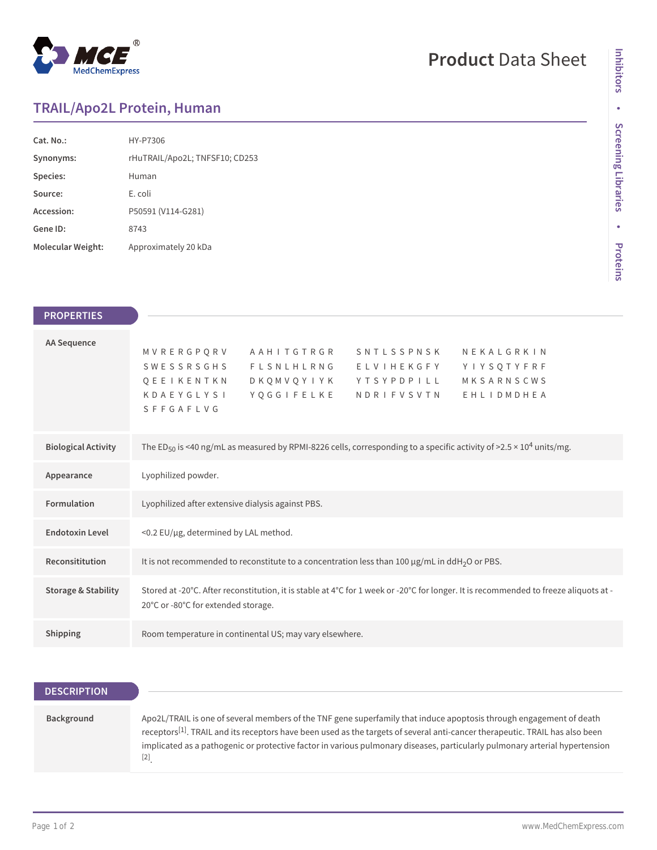

## **Product** Data Sheet

## **TRAIL/Apo2L Protein, Human**

| Cat. No.          | HY-P7306                       |
|-------------------|--------------------------------|
| Synonyms:         | rHuTRAIL/Apo2L; TNFSF10; CD253 |
| Species:          | Human                          |
| Source:           | E. coli                        |
| Accession:        | P50591 (V114-G281)             |
| Gene ID:          | 8743                           |
| Molecular Weight: | Approximately 20 kDa           |

| <b>PROPERTIES</b>              |                                                                                                                                                                                                                                  |
|--------------------------------|----------------------------------------------------------------------------------------------------------------------------------------------------------------------------------------------------------------------------------|
|                                |                                                                                                                                                                                                                                  |
| <b>AA Sequence</b>             | MVRERGPORV<br>AAHITGTRGR<br>NEKALGRKIN<br>SNTLSSPNSK<br>SWESSRSGHS<br>FLSNLHLRNG ELVIHEKGFY<br>YIYSQTYFRF<br>MKSARNSCWS<br>OEEIKENTKN<br>DKOMVOYIYK YTSYPDPILL<br>YQGGIFELKE NDRIFVSVTN<br>KDAEYGLYSI<br>EHLIDMDHEA<br>SFFGAFLVG |
| <b>Biological Activity</b>     | The ED <sub>50</sub> is <40 ng/mL as measured by RPMI-8226 cells, corresponding to a specific activity of >2.5 × 10 <sup>4</sup> units/mg.                                                                                       |
| Appearance                     | Lyophilized powder.                                                                                                                                                                                                              |
| Formulation                    | Lyophilized after extensive dialysis against PBS.                                                                                                                                                                                |
| <b>Endotoxin Level</b>         | <0.2 EU/µg, determined by LAL method.                                                                                                                                                                                            |
| Reconsititution                | It is not recommended to reconstitute to a concentration less than 100 $\mu$ g/mL in ddH <sub>2</sub> O or PBS.                                                                                                                  |
| <b>Storage &amp; Stability</b> | Stored at -20°C. After reconstitution, it is stable at 4°C for 1 week or -20°C for longer. It is recommended to freeze aliquots at -<br>20°C or -80°C for extended storage.                                                      |
| Shipping                       | Room temperature in continental US; may vary elsewhere.                                                                                                                                                                          |

| <b>DESCRIPTION</b> |                                                                                                                                                                                                                                                                                                                                                                                                                                                                                                                                                                                                                                                                                                                                                                                                                                                                                                                                                                                                                                                                                                                                      |
|--------------------|--------------------------------------------------------------------------------------------------------------------------------------------------------------------------------------------------------------------------------------------------------------------------------------------------------------------------------------------------------------------------------------------------------------------------------------------------------------------------------------------------------------------------------------------------------------------------------------------------------------------------------------------------------------------------------------------------------------------------------------------------------------------------------------------------------------------------------------------------------------------------------------------------------------------------------------------------------------------------------------------------------------------------------------------------------------------------------------------------------------------------------------|
|                    |                                                                                                                                                                                                                                                                                                                                                                                                                                                                                                                                                                                                                                                                                                                                                                                                                                                                                                                                                                                                                                                                                                                                      |
| Background         | Apo2L/TRAIL is one of several members of the TNF gene superfamily that induce apoptosis through engagement of death<br>receptors <sup>[1]</sup> . TRAIL and its receptors have been used as the targets of several anti-cancer therapeutic. TRAIL has also been<br>implicated as a pathogenic or protective factor in various pulmonary diseases, particularly pulmonary arterial hypertension<br>$[2] % \includegraphics[width=0.9\columnwidth]{figures/fig_00.pdf} \caption{The graph $\mathcal{N}_0$ is a function of the corresponding graph $\mathcal{N}_0$ and the corresponding graph $\mathcal{N}_1$ and the corresponding graph $\mathcal{N}_1$ and the corresponding graph $\mathcal{N}_2$ are the corresponding graph $\mathcal{N}_1$ and $\mathcal{N}_2$ are the corresponding graph $\mathcal{N}_1$ and $\mathcal{N}_2$ are the corresponding graph $\mathcal{N}_1$ and $\mathcal{N}_2$ are the corresponding graph $\mathcal{N}_1$ and $\mathcal{N}_2$ are the corresponding graph $\mathcal{N}_1$ and $\mathcal{N}_2$ are the corresponding graph $\mathcal{N}_1$ and $\mathcal{N}_2$ are the corresponding graph $\$ |